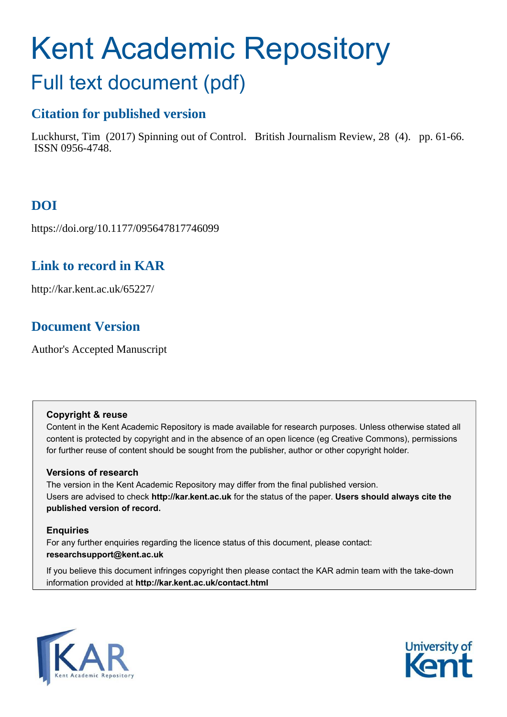# Kent Academic Repository

## Full text document (pdf)

## **Citation for published version**

Luckhurst, Tim (2017) Spinning out of Control. British Journalism Review, 28 (4). pp. 61-66. ISSN 0956-4748.

## **DOI**

https://doi.org/10.1177/095647817746099

## **Link to record in KAR**

http://kar.kent.ac.uk/65227/

## **Document Version**

Author's Accepted Manuscript

#### **Copyright & reuse**

Content in the Kent Academic Repository is made available for research purposes. Unless otherwise stated all content is protected by copyright and in the absence of an open licence (eg Creative Commons), permissions for further reuse of content should be sought from the publisher, author or other copyright holder.

#### **Versions of research**

The version in the Kent Academic Repository may differ from the final published version. Users are advised to check **http://kar.kent.ac.uk** for the status of the paper. **Users should always cite the published version of record.**

#### **Enquiries**

For any further enquiries regarding the licence status of this document, please contact: **researchsupport@kent.ac.uk**

If you believe this document infringes copyright then please contact the KAR admin team with the take-down information provided at **http://kar.kent.ac.uk/contact.html**



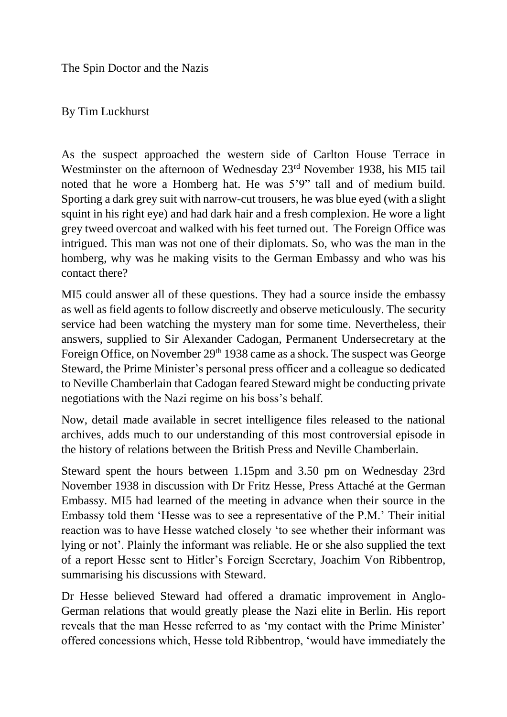The Spin Doctor and the Nazis

#### By Tim Luckhurst

As the suspect approached the western side of Carlton House Terrace in Westminster on the afternoon of Wednesday 23<sup>rd</sup> November 1938, his MI5 tail noted that he wore a Homberg hat. He was 5'9" tall and of medium build. Sporting a dark grey suit with narrow-cut trousers, he was blue eyed (with a slight squint in his right eye) and had dark hair and a fresh complexion. He wore a light grey tweed overcoat and walked with his feet turned out. The Foreign Office was intrigued. This man was not one of their diplomats. So, who was the man in the homberg, why was he making visits to the German Embassy and who was his contact there?

MI5 could answer all of these questions. They had a source inside the embassy as well as field agents to follow discreetly and observe meticulously. The security service had been watching the mystery man for some time. Nevertheless, their answers, supplied to Sir Alexander Cadogan, Permanent Undersecretary at the Foreign Office, on November 29<sup>th</sup> 1938 came as a shock. The suspect was George Steward, the Prime Minister's personal press officer and a colleague so dedicated to Neville Chamberlain that Cadogan feared Steward might be conducting private negotiations with the Nazi regime on his boss's behalf.

Now, detail made available in secret intelligence files released to the national archives, adds much to our understanding of this most controversial episode in the history of relations between the British Press and Neville Chamberlain.

Steward spent the hours between 1.15pm and 3.50 pm on Wednesday 23rd November 1938 in discussion with Dr Fritz Hesse, Press Attaché at the German Embassy. MI5 had learned of the meeting in advance when their source in the Embassy told them 'Hesse was to see a representative of the P.M.' Their initial reaction was to have Hesse watched closely 'to see whether their informant was lying or not'. Plainly the informant was reliable. He or she also supplied the text of a report Hesse sent to Hitler's Foreign Secretary, Joachim Von Ribbentrop, summarising his discussions with Steward.

Dr Hesse believed Steward had offered a dramatic improvement in Anglo-German relations that would greatly please the Nazi elite in Berlin. His report reveals that the man Hesse referred to as 'my contact with the Prime Minister' offered concessions which, Hesse told Ribbentrop, 'would have immediately the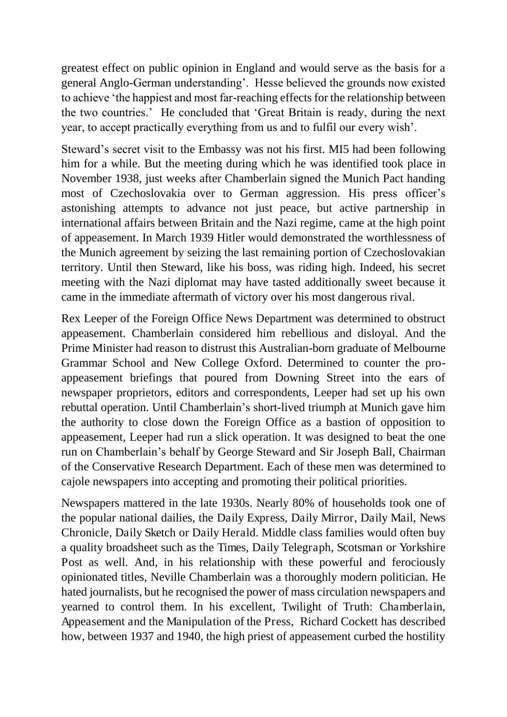greatest effect on public opinion in England and would serve as the basis for a general Anglo-German understanding'. Hesse believed the grounds now existed to achieve 'the happiest and most far-reaching effects for the relationship between the two countries.' He concluded that 'Great Britain is ready, during the next year, to accept practically everything from us and to fulfil our every wish'.

Steward's secret visit to the Embassy was not his first. MI5 had been following him for a while. But the meeting during which he was identified took place in November 1938, just weeks after Chamberlain signed the Munich Pact handing most of Czechoslovakia over to German aggression. His press officer's astonishing attempts to advance not just peace, but active partnership in international affairs between Britain and the Nazi regime, came at the high point of appeasement. In March 1939 Hitler would demonstrated the worthlessness of the Munich agreement by seizing the last remaining portion of Czechoslovakian territory. Until then Steward, like his boss, was riding high. Indeed, his secret meeting with the Nazi diplomat may have tasted additionally sweet because it came in the immediate aftermath of victory over his most dangerous rival.

Rex Leeper of the Foreign Office News Department was determined to obstruct appeasement. Chamberlain considered him rebellious and disloyal. And the Prime Minister had reason to distrust this Australian-born graduate of Melbourne Grammar School and New College Oxford. Determined to counter the proappeasement briefings that poured from Downing Street into the ears of newspaper proprietors, editors and correspondents, Leeper had set up his own rebuttal operation. Until Chamberlain's short-lived triumph at Munich gave him the authority to close down the Foreign Office as a bastion of opposition to appeasement, Leeper had run a slick operation. It was designed to beat the one run on Chamberlain's behalf by George Steward and Sir Joseph Ball, Chairman of the Conservative Research Department. Each of these men was determined to cajole newspapers into accepting and promoting their political priorities.

Newspapers mattered in the late 1930s. Nearly 80% of households took one of the popular national dailies, the Daily Express, Daily Mirror, Daily Mail, News Chronicle, Daily Sketch or Daily Herald. Middle class families would often buy a quality broadsheet such as the Times, Daily Telegraph, Scotsman or Yorkshire Post as well. And, in his relationship with these powerful and ferociously opinionated titles, Neville Chamberlain was a thoroughly modern politician. He hated journalists, but he recognised the power of mass circulation newspapers and yearned to control them. In his excellent, Twilight of Truth: Chamberlain, Appeasement and the Manipulation of the Press, Richard Cockett has described how, between 1937 and 1940, the high priest of appeasement curbed the hostility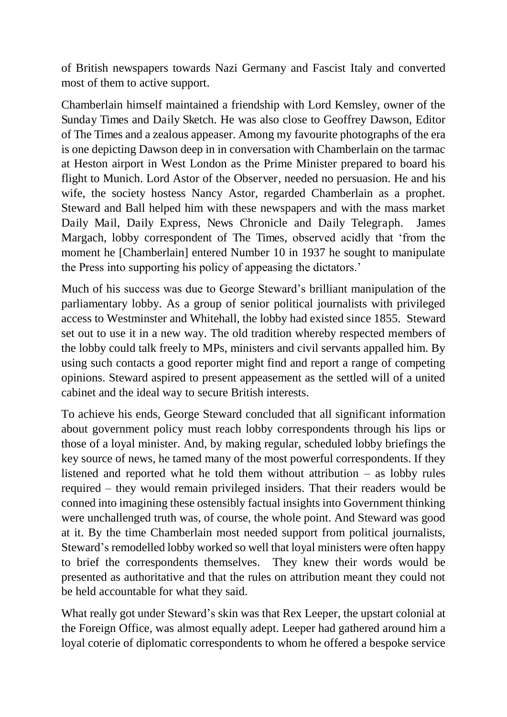of British newspapers towards Nazi Germany and Fascist Italy and converted most of them to active support.

Chamberlain himself maintained a friendship with Lord Kemsley, owner of the Sunday Times and Daily Sketch. He was also close to Geoffrey Dawson, Editor of The Times and a zealous appeaser. Among my favourite photographs of the era is one depicting Dawson deep in in conversation with Chamberlain on the tarmac at Heston airport in West London as the Prime Minister prepared to board his flight to Munich. Lord Astor of the Observer, needed no persuasion. He and his wife, the society hostess Nancy Astor, regarded Chamberlain as a prophet. Steward and Ball helped him with these newspapers and with the mass market Daily Mail, Daily Express, News Chronicle and Daily Telegraph. James Margach, lobby correspondent of The Times, observed acidly that 'from the moment he [Chamberlain] entered Number 10 in 1937 he sought to manipulate the Press into supporting his policy of appeasing the dictators.'

Much of his success was due to George Steward's brilliant manipulation of the parliamentary lobby. As a group of senior political journalists with privileged access to Westminster and Whitehall, the lobby had existed since 1855. Steward set out to use it in a new way. The old tradition whereby respected members of the lobby could talk freely to MPs, ministers and civil servants appalled him. By using such contacts a good reporter might find and report a range of competing opinions. Steward aspired to present appeasement as the settled will of a united cabinet and the ideal way to secure British interests.

To achieve his ends, George Steward concluded that all significant information about government policy must reach lobby correspondents through his lips or those of a loyal minister. And, by making regular, scheduled lobby briefings the key source of news, he tamed many of the most powerful correspondents. If they listened and reported what he told them without attribution – as lobby rules required – they would remain privileged insiders. That their readers would be conned into imagining these ostensibly factual insights into Government thinking were unchallenged truth was, of course, the whole point. And Steward was good at it. By the time Chamberlain most needed support from political journalists, Steward's remodelled lobby worked so well that loyal ministers were often happy to brief the correspondents themselves. They knew their words would be presented as authoritative and that the rules on attribution meant they could not be held accountable for what they said.

What really got under Steward's skin was that Rex Leeper, the upstart colonial at the Foreign Office, was almost equally adept. Leeper had gathered around him a loyal coterie of diplomatic correspondents to whom he offered a bespoke service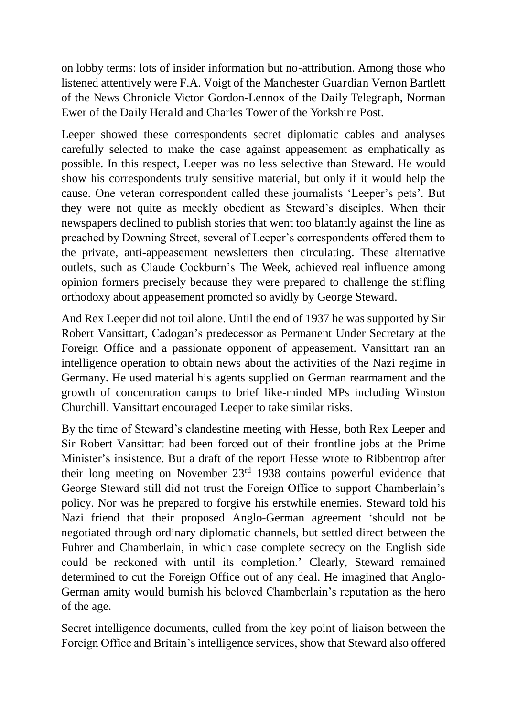on lobby terms: lots of insider information but no-attribution. Among those who listened attentively were F.A. Voigt of the Manchester Guardian Vernon Bartlett of the News Chronicle Victor Gordon-Lennox of the Daily Telegraph, Norman Ewer of the Daily Herald and Charles Tower of the Yorkshire Post.

Leeper showed these correspondents secret diplomatic cables and analyses carefully selected to make the case against appeasement as emphatically as possible. In this respect, Leeper was no less selective than Steward. He would show his correspondents truly sensitive material, but only if it would help the cause. One veteran correspondent called these journalists 'Leeper's pets'. But they were not quite as meekly obedient as Steward's disciples. When their newspapers declined to publish stories that went too blatantly against the line as preached by Downing Street, several of Leeper's correspondents offered them to the private, anti-appeasement newsletters then circulating. These alternative outlets, such as Claude Cockburn's The Week, achieved real influence among opinion formers precisely because they were prepared to challenge the stifling orthodoxy about appeasement promoted so avidly by George Steward.

And Rex Leeper did not toil alone. Until the end of 1937 he was supported by Sir Robert Vansittart, Cadogan's predecessor as Permanent Under Secretary at the Foreign Office and a passionate opponent of appeasement. Vansittart ran an intelligence operation to obtain news about the activities of the Nazi regime in Germany. He used material his agents supplied on German rearmament and the growth of concentration camps to brief like-minded MPs including Winston Churchill. Vansittart encouraged Leeper to take similar risks.

By the time of Steward's clandestine meeting with Hesse, both Rex Leeper and Sir Robert Vansittart had been forced out of their frontline jobs at the Prime Minister's insistence. But a draft of the report Hesse wrote to Ribbentrop after their long meeting on November 23rd 1938 contains powerful evidence that George Steward still did not trust the Foreign Office to support Chamberlain's policy. Nor was he prepared to forgive his erstwhile enemies. Steward told his Nazi friend that their proposed Anglo-German agreement 'should not be negotiated through ordinary diplomatic channels, but settled direct between the Fuhrer and Chamberlain, in which case complete secrecy on the English side could be reckoned with until its completion.' Clearly, Steward remained determined to cut the Foreign Office out of any deal. He imagined that Anglo-German amity would burnish his beloved Chamberlain's reputation as the hero of the age.

Secret intelligence documents, culled from the key point of liaison between the Foreign Office and Britain's intelligence services, show that Steward also offered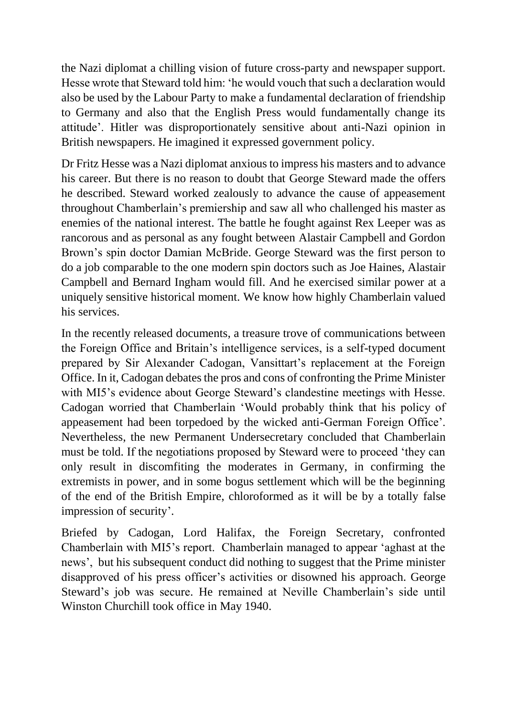the Nazi diplomat a chilling vision of future cross-party and newspaper support. Hesse wrote that Steward told him: 'he would vouch that such a declaration would also be used by the Labour Party to make a fundamental declaration of friendship to Germany and also that the English Press would fundamentally change its attitude'. Hitler was disproportionately sensitive about anti-Nazi opinion in British newspapers. He imagined it expressed government policy.

Dr Fritz Hesse was a Nazi diplomat anxious to impress his masters and to advance his career. But there is no reason to doubt that George Steward made the offers he described. Steward worked zealously to advance the cause of appeasement throughout Chamberlain's premiership and saw all who challenged his master as enemies of the national interest. The battle he fought against Rex Leeper was as rancorous and as personal as any fought between Alastair Campbell and Gordon Brown's spin doctor Damian McBride. George Steward was the first person to do a job comparable to the one modern spin doctors such as Joe Haines, Alastair Campbell and Bernard Ingham would fill. And he exercised similar power at a uniquely sensitive historical moment. We know how highly Chamberlain valued his services.

In the recently released documents, a treasure trove of communications between the Foreign Office and Britain's intelligence services, is a self-typed document prepared by Sir Alexander Cadogan, Vansittart's replacement at the Foreign Office. In it, Cadogan debates the pros and cons of confronting the Prime Minister with MI5's evidence about George Steward's clandestine meetings with Hesse. Cadogan worried that Chamberlain 'Would probably think that his policy of appeasement had been torpedoed by the wicked anti-German Foreign Office'. Nevertheless, the new Permanent Undersecretary concluded that Chamberlain must be told. If the negotiations proposed by Steward were to proceed 'they can only result in discomfiting the moderates in Germany, in confirming the extremists in power, and in some bogus settlement which will be the beginning of the end of the British Empire, chloroformed as it will be by a totally false impression of security'.

Briefed by Cadogan, Lord Halifax, the Foreign Secretary, confronted Chamberlain with MI5's report. Chamberlain managed to appear 'aghast at the news', but his subsequent conduct did nothing to suggest that the Prime minister disapproved of his press officer's activities or disowned his approach. George Steward's job was secure. He remained at Neville Chamberlain's side until Winston Churchill took office in May 1940.